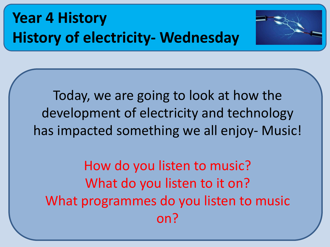



Today, we are going to look at how the development of electricity and technology has impacted something we all enjoy- Music!

How do you listen to music? What do you listen to it on? What programmes do you listen to music on?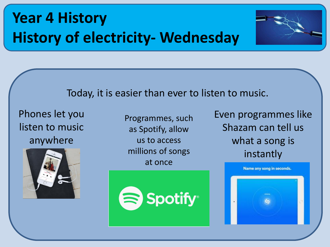

#### Today, it is easier than ever to listen to music.

Phones let you listen to music anywhere



Programmes, such as Spotify, allow us to access millions of songs at once



Even programmes like Shazam can tell us what a song is instantly

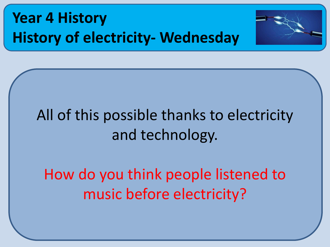



## All of this possible thanks to electricity and technology.

How do you think people listened to music before electricity?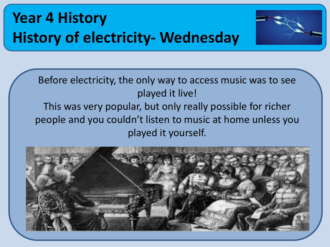

Before electricity, the only way to access music was to see played it live! This was very popular, but only really possible for richer people and you couldn't listen to music at home unless you played it yourself.

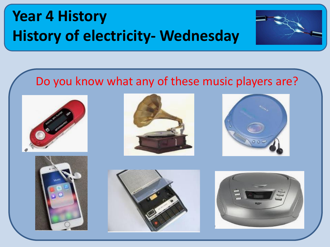

#### Do you know what any of these music players are?











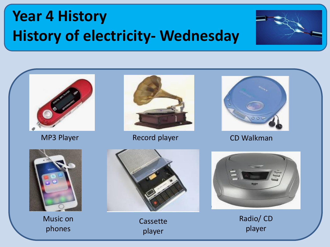





MP3 Player **Record player** Record Player CD Walkman





Music on phones



Cassette player



Radio/ CD player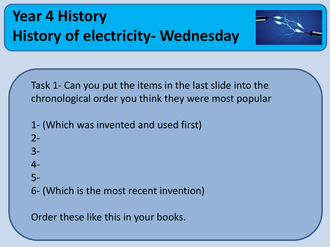

Task 1- Can you put the items in the last slide into the chronological order you think they were most popular

- 1- (Which was invented and used first)
- 2-
- 3-
- 4-
- 5-
- 6- (Which is the most recent invention)

Order these like this in your books.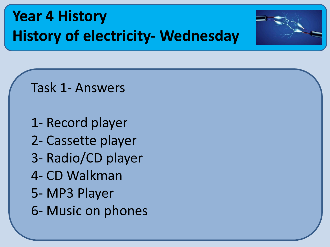

Task 1- Answers

1- Record player 2- Cassette player 3- Radio/CD player 4- CD Walkman 5- MP3 Player 6- Music on phones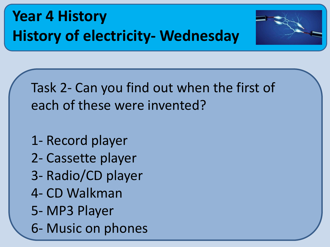



Task 2- Can you find out when the first of each of these were invented?

- 1- Record player
- 2- Cassette player
- 3- Radio/CD player
- 4- CD Walkman
- 5- MP3 Player
- 6- Music on phones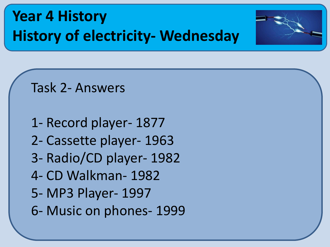



Task 2- Answers

1- Record player- 1877 2- Cassette player- 1963 3- Radio/CD player- 1982 4- CD Walkman- 1982 5- MP3 Player- 1997 6- Music on phones- 1999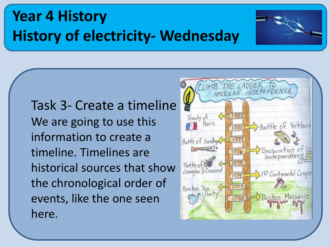Task 3- Create a timeline We are going to use this information to create a timeline. Timelines are historical sources that show the chronological order of events, like the one seen here.



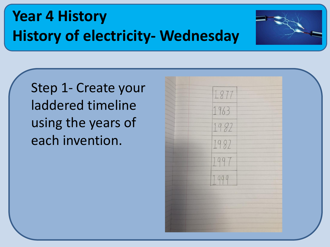

Step 1- Create your laddered timeline using the years of each invention.